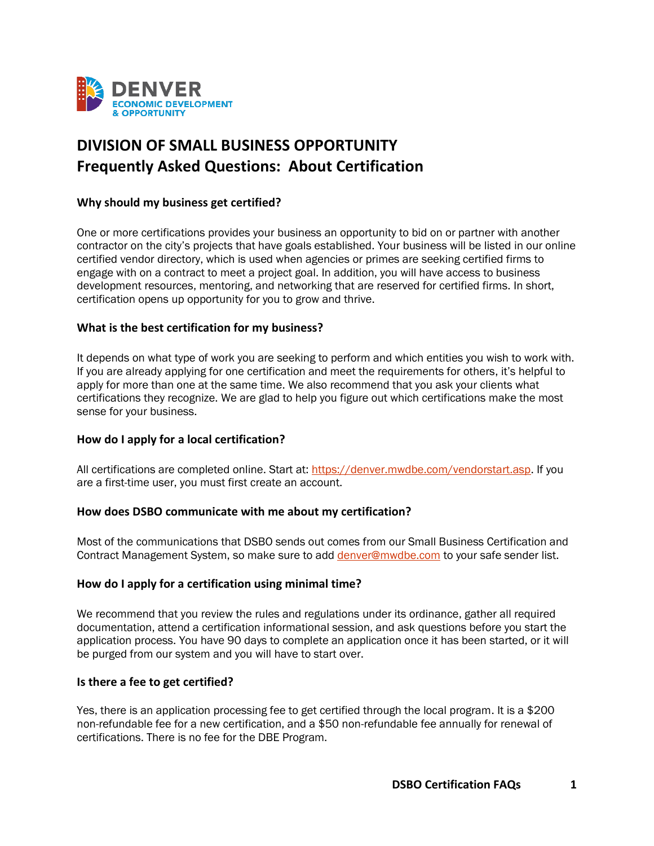

# **DIVISION OF SMALL BUSINESS OPPORTUNITY Frequently Asked Questions: About Certification**

## **Why should my business get certified?**

One or more certifications provides your business an opportunity to bid on or partner with another contractor on the city's projects that have goals established. Your business will be listed in our online certified vendor directory, which is used when agencies or primes are seeking certified firms to engage with on a contract to meet a project goal. In addition, you will have access to business development resources, mentoring, and networking that are reserved for certified firms. In short, certification opens up opportunity for you to grow and thrive.

## **What is the best certification for my business?**

It depends on what type of work you are seeking to perform and which entities you wish to work with. If you are already applying for one certification and meet the requirements for others, it's helpful to apply for more than one at the same time. We also recommend that you ask your clients what certifications they recognize. We are glad to help you figure out which certifications make the most sense for your business.

## **How do I apply for a local certification?**

All certifications are completed online. Start at: [https://denver.mwdbe.com/vendorstart.asp.](https://denver.mwdbe.com/vendorstart.asp) If you are a first-time user, you must first create an account.

## **How does DSBO communicate with me about my certification?**

Most of the communications that DSBO sends out comes from our Small Business Certification and Contract Management System, so make sure to add [denver@mwdbe.com](file:///C:/Users/134095/Desktop/denver@mwdbe.com) to your safe sender list.

## **How do I apply for a certification using minimal time?**

We recommend that you review the rules and regulations under its ordinance, gather all required documentation, attend a certification informational session, and ask questions before you start the application process. You have 90 days to complete an application once it has been started, or it will be purged from our system and you will have to start over.

#### **Is there a fee to get certified?**

Yes, there is an application processing fee to get certified through the local program. It is a \$200 non-refundable fee for a new certification, and a \$50 non-refundable fee annually for renewal of certifications. There is no fee for the DBE Program.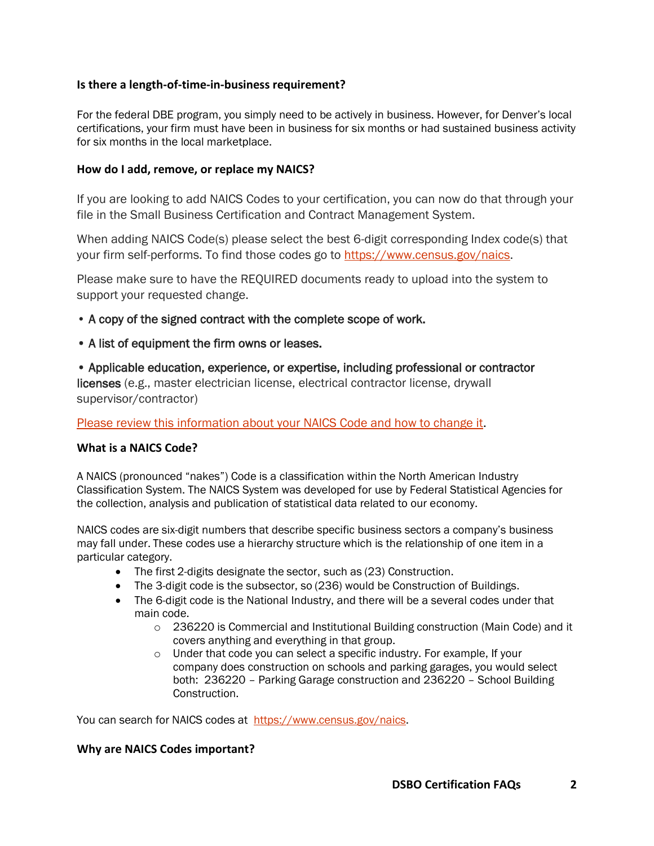## **Is there a length-of-time-in-business requirement?**

For the federal DBE program, you simply need to be actively in business. However, for Denver's local certifications, your firm must have been in business for six months or had sustained business activity for six months in the local marketplace.

#### **How do I add, remove, or replace my NAICS?**

If you are looking to add NAICS Codes to your certification, you can now do that through your file in the Small Business Certification and Contract Management System.

When adding NAICS Code(s) please select the best 6-digit corresponding Index code(s) that your firm self-performs. To find those codes go to [https://www.census.gov/naics.](https://www.census.gov/naics)

Please make sure to have the REQUIRED documents ready to upload into the system to support your requested change.

- A copy of the signed contract with the complete scope of work.
- A list of equipment the firm owns or leases.

• Applicable education, experience, or expertise, including professional or contractor licenses (e.g., master electrician license, electrical contractor license, drywall supervisor/contractor)

Please review this information about your NAICS Code and how to change it.

## **What is a NAICS Code?**

A NAICS (pronounced "nakes") Code is a classification within the North American Industry Classification System. The NAICS System was developed for use by Federal Statistical Agencies for the collection, analysis and publication of statistical data related to our economy.

NAICS codes are six-digit numbers that describe specific business sectors a company's business may fall under. These codes use a hierarchy structure which is the relationship of one item in a particular category.  

- The first 2-digits designate the sector, such as (23) Construction.
- The 3-digit code is the subsector, so (236) would be Construction of Buildings.
- The 6-digit code is the National Industry, and there will be a several codes under that main code.
	- $\circ$  236220 is Commercial and Institutional Building construction (Main Code) and it covers anything and everything in that group.
	- o Under that code you can select a specific industry. For example, If your company does construction on schools and parking garages, you would select both: 236220 – Parking Garage construction and 236220 – School Building Construction.

You can search for NAICS codes at [https://www.census.gov/naics.](https://www.census.gov/naics)

## **Why are NAICS Codes important?**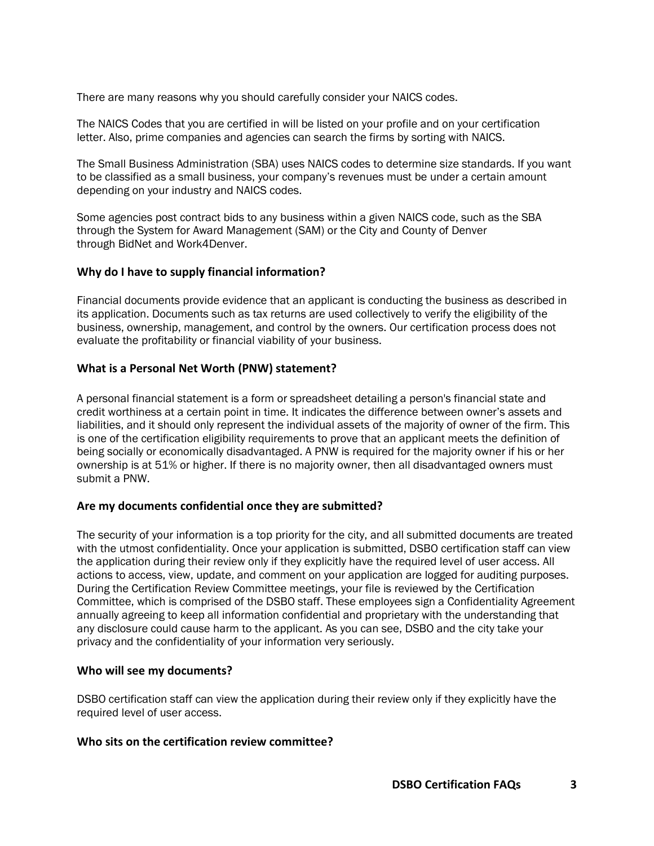There are many reasons why you should carefully consider your NAICS codes.

The NAICS Codes that you are certified in will be listed on your profile and on your certification letter. Also, prime companies and agencies can search the firms by sorting with NAICS.

The Small Business Administration (SBA) uses NAICS codes to determine size standards. If you want to be classified as a small business, your company's revenues must be under a certain amount depending on your industry and NAICS codes.

Some agencies post contract bids to any business within a given NAICS code, such as the SBA through the System for Award Management (SAM) or the City and County of Denver through BidNet and Work4Denver.

## **Why do I have to supply financial information?**

Financial documents provide evidence that an applicant is conducting the business as described in its application. Documents such as tax returns are used collectively to verify the eligibility of the business, ownership, management, and control by the owners. Our certification process does not evaluate the profitability or financial viability of your business.

#### **What is a Personal Net Worth (PNW) statement?**

A personal financial statement is a form or spreadsheet detailing a person's financial state and credit worthiness at a certain point in time. It indicates the difference between owner's assets and liabilities, and it should only represent the individual assets of the majority of owner of the firm. This is one of the certification eligibility requirements to prove that an applicant meets the definition of being socially or economically disadvantaged. A PNW is required for the majority owner if his or her ownership is at 51% or higher. If there is no majority owner, then all disadvantaged owners must submit a PNW.

## **Are my documents confidential once they are submitted?**

The security of your information is a top priority for the city, and all submitted documents are treated with the utmost confidentiality. Once your application is submitted, DSBO certification staff can view the application during their review only if they explicitly have the required level of user access. All actions to access, view, update, and comment on your application are logged for auditing purposes. During the Certification Review Committee meetings, your file is reviewed by the Certification Committee, which is comprised of the DSBO staff. These employees sign a Confidentiality Agreement annually agreeing to keep all information confidential and proprietary with the understanding that any disclosure could cause harm to the applicant. As you can see, DSBO and the city take your privacy and the confidentiality of your information very seriously.

## **Who will see my documents?**

DSBO certification staff can view the application during their review only if they explicitly have the required level of user access.

#### **Who sits on the certification review committee?**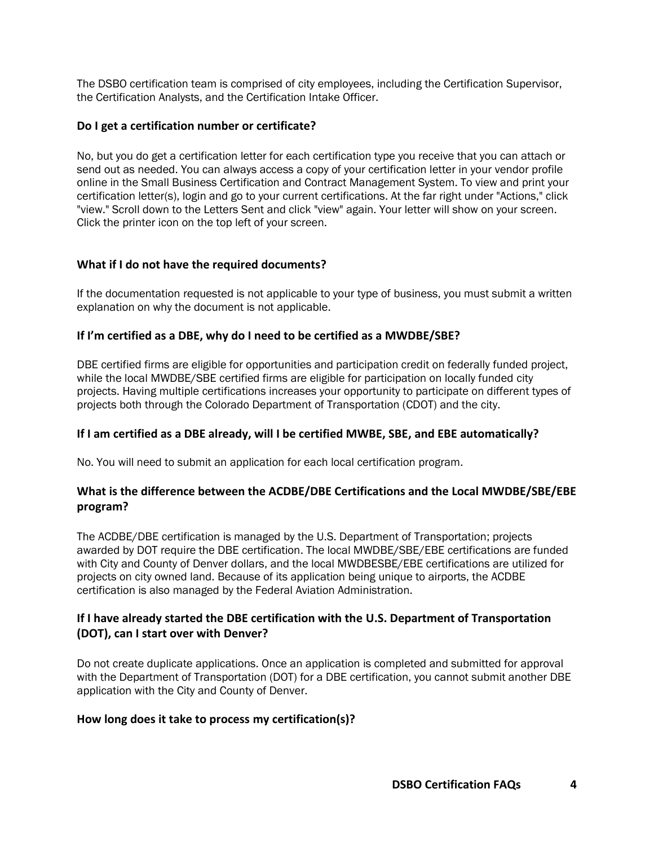The DSBO certification team is comprised of city employees, including the Certification Supervisor, the Certification Analysts, and the Certification Intake Officer.

## **Do I get a certification number or certificate?**

No, but you do get a certification letter for each certification type you receive that you can attach or send out as needed. You can always access a copy of your certification letter in your vendor profile online in the Small Business Certification and Contract Management System. To view and print your certification letter(s), login and go to your current certifications. At the far right under "Actions," click "view." Scroll down to the Letters Sent and click "view" again. Your letter will show on your screen. Click the printer icon on the top left of your screen.

# **What if I do not have the required documents?**

If the documentation requested is not applicable to your type of business, you must submit a written explanation on why the document is not applicable.

# **If I'm certified as a DBE, why do I need to be certified as a MWDBE/SBE?**

DBE certified firms are eligible for opportunities and participation credit on federally funded project, while the local MWDBE/SBE certified firms are eligible for participation on locally funded city projects. Having multiple certifications increases your opportunity to participate on different types of projects both through the Colorado Department of Transportation (CDOT) and the city.

## **If I am certified as a DBE already, will I be certified MWBE, SBE, and EBE automatically?**

No. You will need to submit an application for each local certification program.

# **What is the difference between the ACDBE/DBE Certifications and the Local MWDBE/SBE/EBE program?**

The ACDBE/DBE certification is managed by the U.S. Department of Transportation; projects awarded by DOT require the DBE certification. The local MWDBE/SBE/EBE certifications are funded with City and County of Denver dollars, and the local MWDBESBE/EBE certifications are utilized for projects on city owned land. Because of its application being unique to airports, the ACDBE certification is also managed by the Federal Aviation Administration.

# **If I have already started the DBE certification with the U.S. Department of Transportation (DOT), can I start over with Denver?**

Do not create duplicate applications. Once an application is completed and submitted for approval with the Department of Transportation (DOT) for a DBE certification, you cannot submit another DBE application with the City and County of Denver.

## **How long does it take to process my certification(s)?**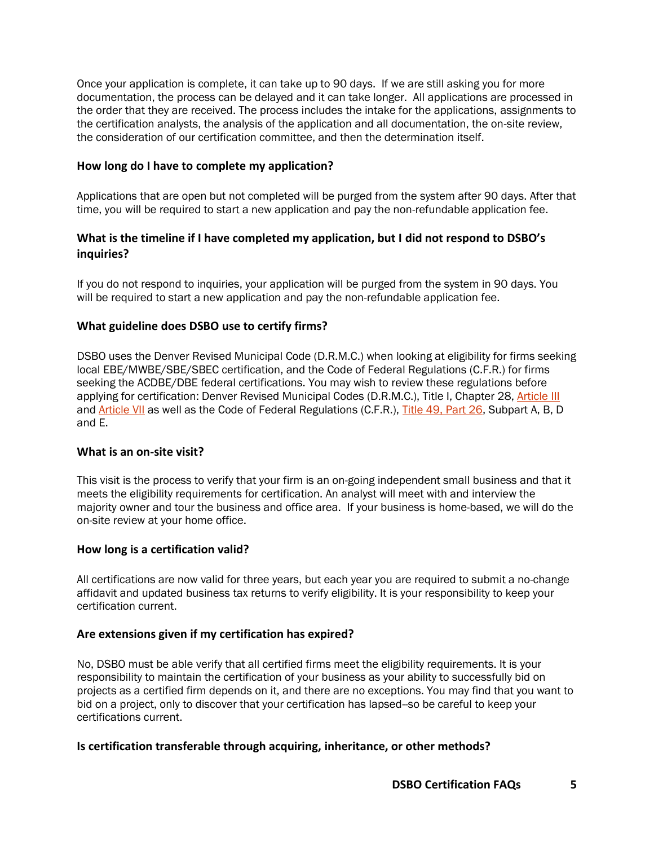Once your application is complete, it can take up to 90 days. If we are still asking you for more documentation, the process can be delayed and it can take longer. All applications are processed in the order that they are received. The process includes the intake for the applications, assignments to the certification analysts, the analysis of the application and all documentation, the on-site review, the consideration of our certification committee, and then the determination itself.

## **How long do I have to complete my application?**

Applications that are open but not completed will be purged from the system after 90 days. After that time, you will be required to start a new application and pay the non-refundable application fee.

# **What is the timeline if I have completed my application, but I did not respond to DSBO's inquiries?**

If you do not respond to inquiries, your application will be purged from the system in 90 days. You will be required to start a new application and pay the non-refundable application fee.

# **What guideline does DSBO use to certify firms?**

DSBO uses the Denver Revised Municipal Code (D.R.M.C.) when looking at eligibility for firms seeking local EBE/MWBE/SBE/SBEC certification, and the Code of Federal Regulations (C.F.R.) for firms seeking the ACDBE/DBE federal certifications. You may wish to review these regulations before applying for certification: Denver Revised Municipal Codes (D.R.M.C.), Title I, Chapter 28, [Article III](https://library.municode.com/co/denver/codes/code_of_ordinances?nodeId=TITIIREMUCO_CH28HURI_ARTIIINOCOCOREREPRDECOSE_DIV3NOCOCOREREPRDECOSE_SDIIICOEN_S28-69ADRECOPR) and [Article VII](https://library.municode.com/co/denver/codes/code_of_ordinances?nodeId=TITIIREMUCO_CH28HURI_ARTIVPRDIEMHOCOSPPUACEDINHEWESE) as well as the Code of Federal Regulations (C.F.R.), [Title 49, Part 26,](https://www.ecfr.gov/cgi-bin/retrieveECFR?gp=&SID=67d721254309f557d1f7332190d352cd&mc=true&n=pt49.1.26&r=PART&ty=HTML) Subpart A, B, D and E.

## **What is an on-site visit?**

This visit is the process to verify that your firm is an on-going independent small business and that it meets the eligibility requirements for certification. An analyst will meet with and interview the majority owner and tour the business and office area. If your business is home-based, we will do the on-site review at your home office.

## **How long is a certification valid?**

All certifications are now valid for three years, but each year you are required to submit a no-change affidavit and updated business tax returns to verify eligibility. It is your responsibility to keep your certification current.

## **Are extensions given if my certification has expired?**

No, DSBO must be able verify that all certified firms meet the eligibility requirements. It is your responsibility to maintain the certification of your business as your ability to successfully bid on projects as a certified firm depends on it, and there are no exceptions. You may find that you want to bid on a project, only to discover that your certification has lapsed--so be careful to keep your certifications current.

## **Is certification transferable through acquiring, inheritance, or other methods?**